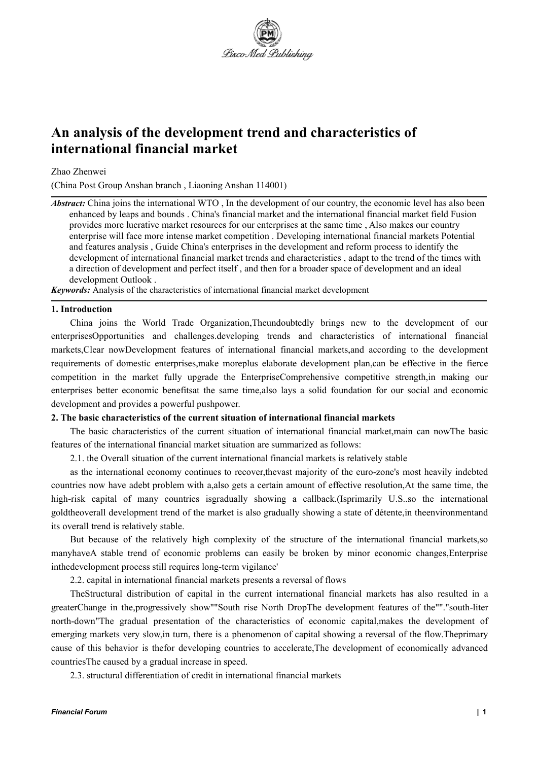

# **An analysis of the development trend and characteristics of international financial market**

Zhao Zhenwei

(China Post Group Anshan branch , Liaoning Anshan 114001)

*Abstract:* China joins the international WTO, In the development of our country, the economic level has also been enhanced by leaps and bounds . China's financial market and the international financial market field Fusion provides more lucrative market resources for our enterprises at the same time , Also makes our country enterprise will face more intense market competition . Developing international financial markets Potential and features analysis , Guide China's enterprises in the development and reform process to identify the development of international financial market trends and characteristics , adapt to the trend of the times with a direction of development and perfect itself , and then for a broader space of development and an ideal development Outlook .

**Keywords:** Analysis of the characteristics of international financial market development

#### **1. Introduction**

China joins the World Trade Organization,Theundoubtedly brings new to the development of our enterprisesOpportunities and challenges.developing trends and characteristics of international financial markets,Clear nowDevelopment features of international financial markets,and according to the development requirements of domestic enterprises,make moreplus elaborate development plan,can be effective in the fierce competition in the market fully upgrade the EnterpriseComprehensive competitive strength,in making our enterprises better economic benefitsat the same time,also lays a solid foundation for our social and economic development and provides a powerful pushpower.

### **2. The basic characteristics ofthe current situation of international financial markets**

The basic characteristics of the current situation of international financial market,main can nowThe basic features of the international financial market situation are summarized as follows:

2.1. the Overall situation of the currentinternational financial markets is relatively stable

as the international economy continues to recover,thevast majority of the euro-zone's most heavily indebted countries now have adebt problem with a,also gets a certain amount of effective resolution,At the same time, the high-risk capital of many countries isgradually showing a callback.(Isprimarily U.S. so the international goldtheoverall development trend of the market is also gradually showing a state of détente,in theenvironmentand its overall trend is relatively stable.

But because of the relatively high complexity of the structure of the international financial markets,so manyhaveA stable trend of economic problems can easily be broken by minor economic changes,Enterprise inthedevelopment process still requires long-term vigilance'

2.2. capital in international financial markets presents a reversal of flows

TheStructural distribution of capital in the current international financial markets has also resulted in a greaterChange in the,progressively show""South rise North DropThe development features of the""."south-liter north-down"The gradual presentation of the characteristics of economic capital,makes the development of emerging markets very slow, in turn, there is a phenomenon of capital showing a reversal of the flow. The primary cause of this behavior is thefor developing countries to accelerate,The development of economically advanced countriesThe caused by a gradual increase in speed.

2.3. structural differentiation of credit in international financial markets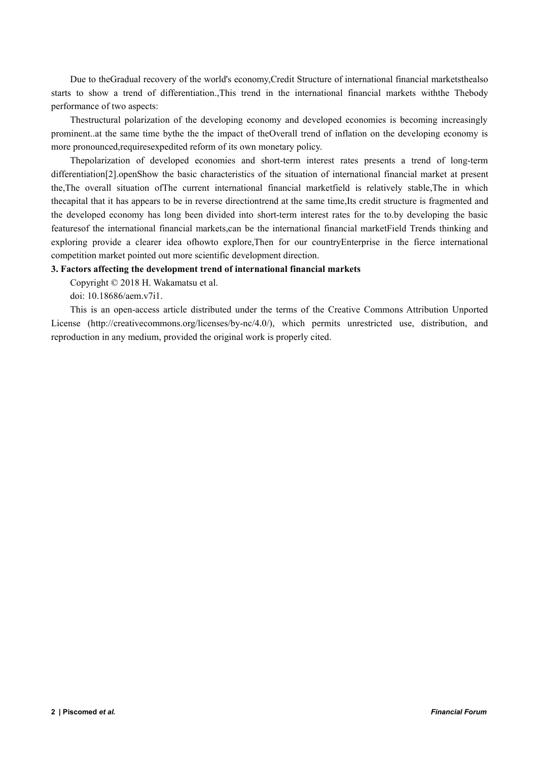Due to theGradual recovery of the world's economy,Credit Structure of international financial marketsthealso starts to show a trend of differentiation.,This trend in the international financial markets withthe Thebody performance of two aspects:

Thestructural polarization of the developing economy and developed economies is becoming increasingly prominent..at the same time bythe the the impact of theOverall trend of inflation on the developing economy is more pronounced,requiresexpedited reform of its own monetary policy.

Thepolarization of developed economies and short-term interest rates presents a trend of long-term differentiation[2].openShow the basic characteristics of the situation of international financial market at present the,The overall situation ofThe current international financial marketfield is relatively stable,The in which thecapital that it has appears to be in reverse directiontrend at the same time,Its credit structure isfragmented and the developed economy has long been divided into short-term interest rates for the to.by developing the basic featuresof the international financial markets,can be the international financial marketField Trends thinking and exploring provide a clearer idea ofhowto explore,Then for our countryEnterprise in the fierce international competition market pointed out more scientific development direction.

## **3. Factors affecting the development trend of international financial markets**

Copyright © 2018 H. Wakamatsu et al.

doi: 10.18686/aem.v7i1.

This is an open-access article distributed under the terms of the Creative Commons Attribution Unported License (http://creativecommons.org/licenses/by-nc/4.0/), which permits unrestricted use, distribution, and reproduction in any medium, provided the original work is properly cited.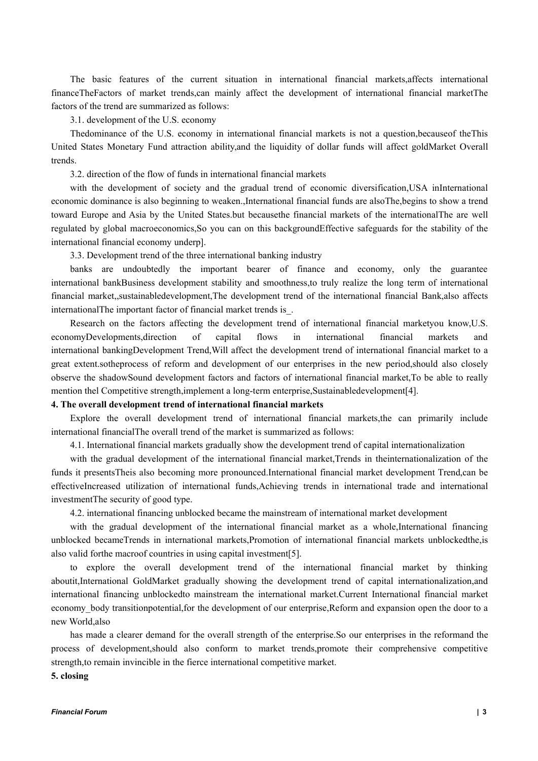The basic features of the current situation in international financial markets,affects international financeTheFactors of market trends,can mainly affect the development of international financial marketThe factors of the trend are summarized as follows:

3.1. development of the U.S. economy

Thedominance of the U.S. economy in international financial markets is not a question,becauseof theThis United States Monetary Fund attraction ability,and the liquidity of dollar funds will affect goldMarket Overall trends.

3.2. direction of the flow of funds in international financial markets

with the development of society and the gradual trend of economic diversification,USA inInternational economic dominance is also beginning to weaken.,International financial funds are alsoThe,begins to show a trend toward Europe and Asia by the United States.but becausethe financial markets of the internationalThe are well regulated by global macroeconomics, So you can on this backgroundEffective safeguards for the stability of the international financial economy underp].

3.3. Development trend of the three international banking industry

banks are undoubtedly the important bearer of finance and economy, only the guarantee international bankBusiness development stability and smoothness,to truly realize the long term of international financial market,,sustainabledevelopment,The development trend of the international financial Bank,also affects internationalThe important factor of financial market trends is\_.

Research on the factors affecting the development trend of international financial marketyou know,U.S.<br>economyDevelopments,direction of capital flows in international financial markets and international bankingDevelopment Trend,Will affect the development trend of international financial market to a great extent.sotheprocess of reform and development of our enterprises in the new period,should also closely observe the shadowSound development factors and factors of international financial market,To be able to really mention thel Competitive strength,implement a long-term enterprise,Sustainabledevelopment[4].

### **4. The overall development trend of international financial markets**

Explore the overall development trend of international financial markets,the can primarily include international financialThe overall trend of the market is summarized as follows:

4.1. International financial markets gradually show the development trend of capital internationalization

with the gradual development of the international financial market,Trends in theinternationalization of the funds it presentsTheis also becoming more pronounced.International financial market development Trend,can be effectiveIncreased utilization of international funds,Achieving trends in international trade and international investmentThe security of good type.

4.2. international financing unblocked became the mainstream of international market development

with the gradual development of the international financial market as a whole,International financing unblocked becameTrends in international markets,Promotion of international financial markets unblockedthe,is also valid forthe macroof countries in using capital investment[5].

to explore the overall development trend of the international financial market by thinking aboutit,International GoldMarket gradually showing the development trend of capital internationalization,and international financing unblockedto mainstream the international market.Current International financial market economy\_body transitionpotential,for the development of our enterprise,Reform and expansion open the door to a new World,also

has made a clearer demand for the overall strength of the enterprise. So our enterprises in the reformand the process of development,should also conform to market trends,promote their comprehensive competitive strength,to remain invincible in the fierce international competitive market.

**5. closing**